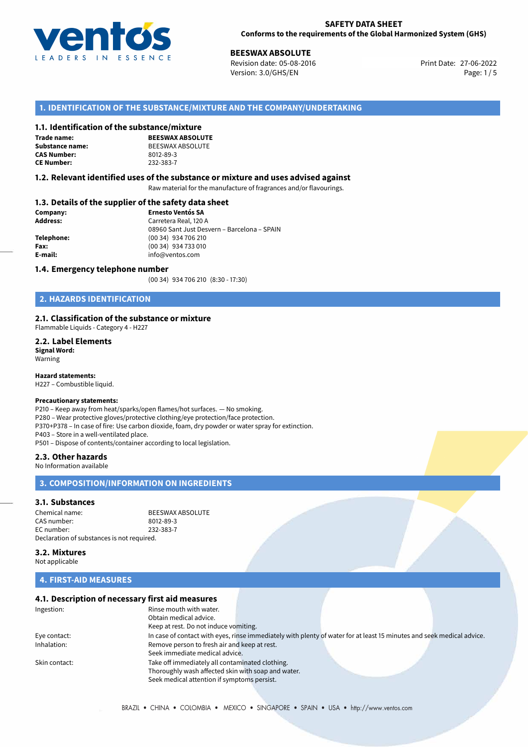

27-06-2022 **BEESWAX ABSOLUTE** Revision date: 05-08-2016 Print Date: Version: 3.0/GHS/EN Page: 1/5

# **1. IDENTIFICATION OF THE SUBSTANCE/MIXTURE AND THE COMPANY/UNDERTAKING**

#### **1.1. Identification of the substance/mixture**

**Trade name: CAS Number: CE Number:** 232-383-7

**BEESWAX ABSOLUTE Substance name:** BEESWAX ABSOLUTE<br> **CAS Number:** 8012-89-3

#### **1.2. Relevant identified uses of the substance or mixture and uses advised against**

Raw material for the manufacture of fragrances and/or flavourings.

# **1.3. Details of the supplier of the safety data sheet**

| Company:   | <b>Ernesto Ventós SA</b>                    |
|------------|---------------------------------------------|
| Address:   | Carretera Real, 120 A                       |
|            | 08960 Sant Just Desvern - Barcelona - SPAIN |
| Telephone: | (00 34) 934 706 210                         |
| Fax:       | (00 34) 934 733 010                         |
| E-mail:    | info@ventos.com                             |
|            |                                             |

#### **1.4. Emergency telephone number**

(00 34) 934 706 210 (8:30 - 17:30)

# **2. HAZARDS IDENTIFICATION**

#### **2.1. Classification of the substance or mixture**

Flammable Liquids - Category 4 - H227

**2.2. Label Elements Signal Word:** Warning

**Hazard statements:**

H227 – Combustible liquid.

# **Precautionary statements:**

P210 – Keep away from heat/sparks/open flames/hot surfaces. — No smoking. P280 – Wear protective gloves/protective clothing/eye protection/face protection. P370+P378 – In case of fire: Use carbon dioxide, foam, dry powder or water spray for extinction. P403 – Store in a well-ventilated place. P501 – Dispose of contents/container according to local legislation.

#### **2.3. Other hazards**

No Information available

# **3. COMPOSITION/INFORMATION ON INGREDIENTS**

#### **3.1. Substances**

Chemical name: BEESWAX ABSOLUTE<br>CAS number: 8012-89-3 CAS number: EC number: 232-383-7 Declaration of substances is not required.

**3.2. Mixtures**

Not applicable

# **4. FIRST-AID MEASURES**

# **4.1. Description of necessary first aid measures**

| Ingestion:    | Rinse mouth with water.<br>Obtain medical advice.  |                                                                                                                       |  |
|---------------|----------------------------------------------------|-----------------------------------------------------------------------------------------------------------------------|--|
|               | Keep at rest. Do not induce vomiting.              |                                                                                                                       |  |
| Eye contact:  |                                                    | In case of contact with eyes, rinse immediately with plenty of water for at least 15 minutes and seek medical advice. |  |
| Inhalation:   | Remove person to fresh air and keep at rest.       |                                                                                                                       |  |
|               | Seek immediate medical advice.                     |                                                                                                                       |  |
| Skin contact: | Take off immediately all contaminated clothing.    |                                                                                                                       |  |
|               | Thoroughly wash affected skin with soap and water. |                                                                                                                       |  |
|               | Seek medical attention if symptoms persist.        |                                                                                                                       |  |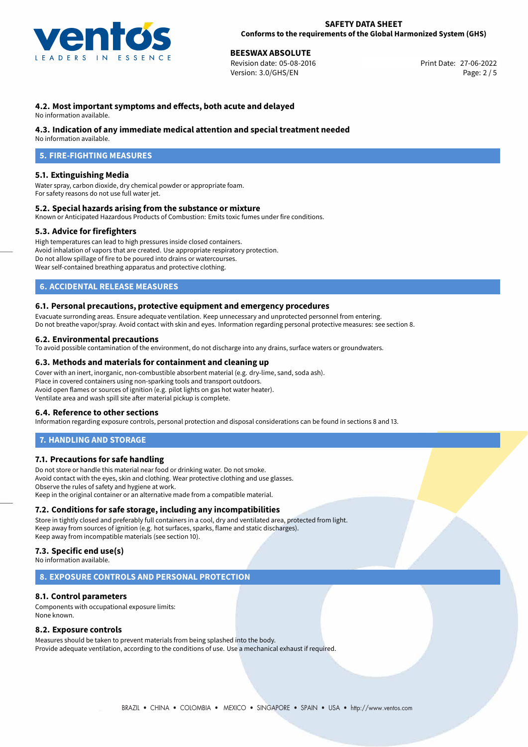

# **27-06-2022 BEESWAX ABSOLUTE**<br>27-06-2022 Revision date: 05-08-2016

Revision date: 05-08-2016 Version: 3.0/GHS/EN Page: 2 / 5

# **4.2. Most important symptoms and effects, both acute and delayed**

No information available.

# **4.3. Indication of any immediate medical attention and special treatment needed**

No information available.

# **5. FIRE-FIGHTING MEASURES**

# **5.1. Extinguishing Media**

Water spray, carbon dioxide, dry chemical powder or appropriate foam. For safety reasons do not use full water jet.

### **5.2. Special hazards arising from the substance or mixture**

Known or Anticipated Hazardous Products of Combustion: Emits toxic fumes under fire conditions.

### **5.3. Advice for firefighters**

High temperatures can lead to high pressures inside closed containers. Avoid inhalation of vapors that are created. Use appropriate respiratory protection. Do not allow spillage of fire to be poured into drains or watercourses. Wear self-contained breathing apparatus and protective clothing.

# **6. ACCIDENTAL RELEASE MEASURES**

### **6.1. Personal precautions, protective equipment and emergency procedures**

Evacuate surronding areas. Ensure adequate ventilation. Keep unnecessary and unprotected personnel from entering. Do not breathe vapor/spray. Avoid contact with skin and eyes. Information regarding personal protective measures: see section 8.

# **6.2. Environmental precautions**

To avoid possible contamination of the environment, do not discharge into any drains, surface waters or groundwaters.

### **6.3. Methods and materials for containment and cleaning up**

Cover with an inert, inorganic, non-combustible absorbent material (e.g. dry-lime, sand, soda ash). Place in covered containers using non-sparking tools and transport outdoors. Avoid open flames or sources of ignition (e.g. pilot lights on gas hot water heater). Ventilate area and wash spill site after material pickup is complete.

### **6.4. Reference to other sections**

Information regarding exposure controls, personal protection and disposal considerations can be found in sections 8 and 13.

# **7. HANDLING AND STORAGE**

### **7.1. Precautions for safe handling**

Do not store or handle this material near food or drinking water. Do not smoke. Avoid contact with the eyes, skin and clothing. Wear protective clothing and use glasses. Observe the rules of safety and hygiene at work. Keep in the original container or an alternative made from a compatible material.

### **7.2. Conditions for safe storage, including any incompatibilities**

Store in tightly closed and preferably full containers in a cool, dry and ventilated area, protected from light. Keep away from sources of ignition (e.g. hot surfaces, sparks, flame and static discharges). Keep away from incompatible materials (see section 10).

# **7.3. Specific end use(s)**

No information available.

### **8. EXPOSURE CONTROLS AND PERSONAL PROTECTION**

### **8.1. Control parameters**

Components with occupational exposure limits: None known.

### **8.2. Exposure controls**

Measures should be taken to prevent materials from being splashed into the body. Provide adequate ventilation, according to the conditions of use. Use a mechanical exhaust if required.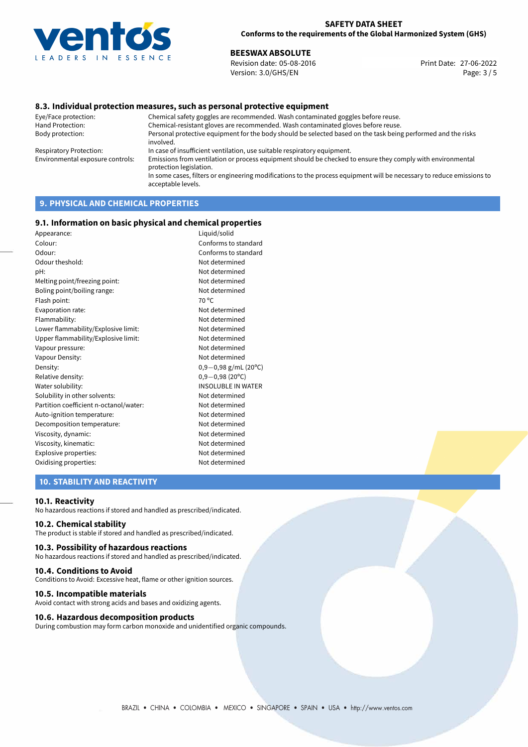

27-06-2022 **BEESWAX ABSOLUTE** Revision date: 05-08-2016 Print Date: Version: 3.0/GHS/EN Page: 3 / 5

### **8.3. Individual protection measures, such as personal protective equipment**

Eye/Face protection: Chemical safety goggles are recommended. Wash contaminated goggles before reuse. Chemical-resistant gloves are recommended. Wash contaminated gloves before reuse. Body protection: Personal protective equipment for the body should be selected based on the task being performed and the risks involved. Respiratory Protection: In case of insufficient ventilation, use suitable respiratory equipment. Environmental exposure controls: Emissions from ventilation or process equipment should be checked to ensure they comply with environmental protection legislation. In some cases, filters or engineering modifications to the process equipment will be necessary to reduce emissions to acceptable levels.

# **9. PHYSICAL AND CHEMICAL PROPERTIES**

#### **9.1. Information on basic physical and chemical properties**

| Appearance:                            | Liquid/solid              |
|----------------------------------------|---------------------------|
| Colour:                                | Conforms to standard      |
| Odour:                                 | Conforms to standard      |
| Odour theshold:                        | Not determined            |
| pH:                                    | Not determined            |
| Melting point/freezing point:          | Not determined            |
| Boling point/boiling range:            | Not determined            |
| Flash point:                           | $70^{\circ}$ C            |
| Evaporation rate:                      | Not determined            |
| Flammability:                          | Not determined            |
| Lower flammability/Explosive limit:    | Not determined            |
| Upper flammability/Explosive limit:    | Not determined            |
| Vapour pressure:                       | Not determined            |
| Vapour Density:                        | Not determined            |
| Density:                               | $0,9-0,98$ g/mL (20°C)    |
| Relative density:                      | $0,9-0,98(20^{\circ}C)$   |
| Water solubility:                      | <b>INSOLUBLE IN WATER</b> |
| Solubility in other solvents:          | Not determined            |
| Partition coefficient n-octanol/water: | Not determined            |
| Auto-ignition temperature:             | Not determined            |
| Decomposition temperature:             | Not determined            |
| Viscosity, dynamic:                    | Not determined            |
| Viscosity, kinematic:                  | Not determined            |
| Explosive properties:                  | Not determined            |
| Oxidising properties:                  | Not determined            |
|                                        |                           |

# **10. STABILITY AND REACTIVITY**

#### **10.1. Reactivity**

No hazardous reactions if stored and handled as prescribed/indicated.

### **10.2. Chemical stability**

The product is stable if stored and handled as prescribed/indicated.

#### **10.3. Possibility of hazardous reactions**

No hazardous reactions if stored and handled as prescribed/indicated.

#### **10.4. Conditions to Avoid**

Conditions to Avoid: Excessive heat, flame or other ignition sources.

#### **10.5. Incompatible materials**

Avoid contact with strong acids and bases and oxidizing agents.

#### **10.6. Hazardous decomposition products**

During combustion may form carbon monoxide and unidentified organic compounds.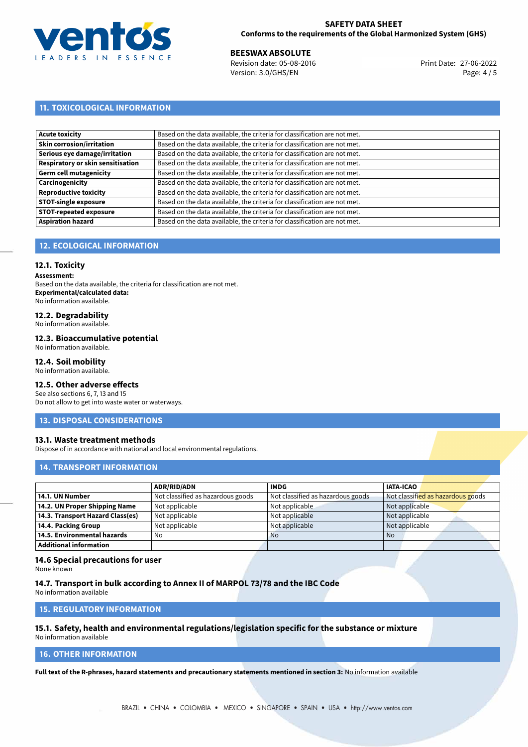

# **SAFETY DATA SHEET Conforms to the requirements of the Global Harmonized System (GHS)**

27-06-2022 **BEESWAX ABSOLUTE** Revision date: 05-08-2016 Print Date: Version: 3.0/GHS/EN Page: 4 / 5

# **11. TOXICOLOGICAL INFORMATION**

| <b>Acute toxicity</b>             | Based on the data available, the criteria for classification are not met. |
|-----------------------------------|---------------------------------------------------------------------------|
| <b>Skin corrosion/irritation</b>  | Based on the data available, the criteria for classification are not met. |
| Serious eye damage/irritation     | Based on the data available, the criteria for classification are not met. |
| Respiratory or skin sensitisation | Based on the data available, the criteria for classification are not met. |
| Germ cell mutagenicity            | Based on the data available, the criteria for classification are not met. |
| Carcinogenicity                   | Based on the data available, the criteria for classification are not met. |
| <b>Reproductive toxicity</b>      | Based on the data available, the criteria for classification are not met. |
| <b>STOT-single exposure</b>       | Based on the data available, the criteria for classification are not met. |
| <b>STOT-repeated exposure</b>     | Based on the data available, the criteria for classification are not met. |
| <b>Aspiration hazard</b>          | Based on the data available, the criteria for classification are not met. |

# **12. ECOLOGICAL INFORMATION**

## **12.1. Toxicity**

**Assessment:**

Based on the data available, the criteria for classification are not met. **Experimental/calculated data:** No information available.

# **12.2. Degradability**

No information available.

#### **12.3. Bioaccumulative potential**

No information available.

# **12.4. Soil mobility**

No information available.

# **12.5. Other adverse effects**

See also sections 6, 7, 13 and 15 Do not allow to get into waste water or waterways.

### **13. DISPOSAL CONSIDERATIONS**

### **13.1. Waste treatment methods**

Dispose of in accordance with national and local environmental regulations.

### **14. TRANSPORT INFORMATION**

|                                  | <b>ADR/RID/ADN</b>                | <b>IMDG</b>                       | <b>IATA-ICAO</b>                  |
|----------------------------------|-----------------------------------|-----------------------------------|-----------------------------------|
| 14.1. UN Number                  | Not classified as hazardous goods | Not classified as hazardous goods | Not classified as hazardous goods |
| 14.2. UN Proper Shipping Name    | Not applicable                    | Not applicable                    | Not applicable                    |
| 14.3. Transport Hazard Class(es) | Not applicable                    | Not applicable                    | Not applicable                    |
| 14.4. Packing Group              | Not applicable                    | Not applicable                    | Not applicable                    |
| 14.5. Environmental hazards      | No                                | <b>No</b>                         | No                                |
| <b>Additional information</b>    |                                   |                                   |                                   |

### **14.6 Special precautions for user**

None known

#### **14.7. Transport in bulk according to Annex II of MARPOL 73/78 and the IBC Code**

No information available

# **15. REGULATORY INFORMATION**

#### **15.1. Safety, health and environmental regulations/legislation specific for the substance or mixture** No information available

# **16. OTHER INFORMATION**

**Full text of the R-phrases, hazard statements and precautionary statements mentioned in section 3:** No information available